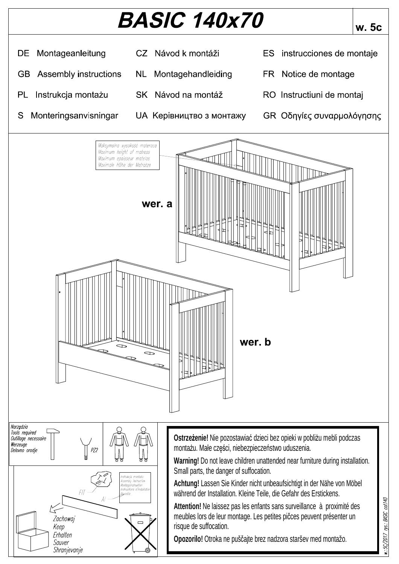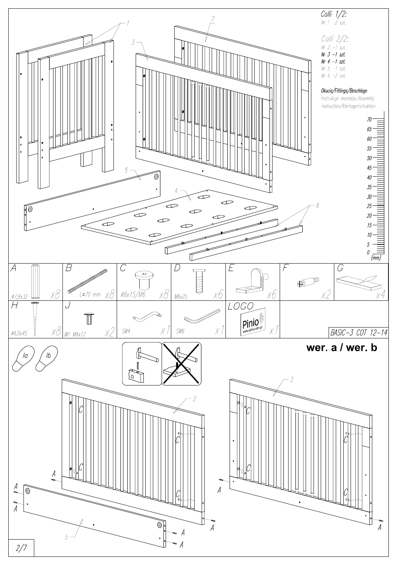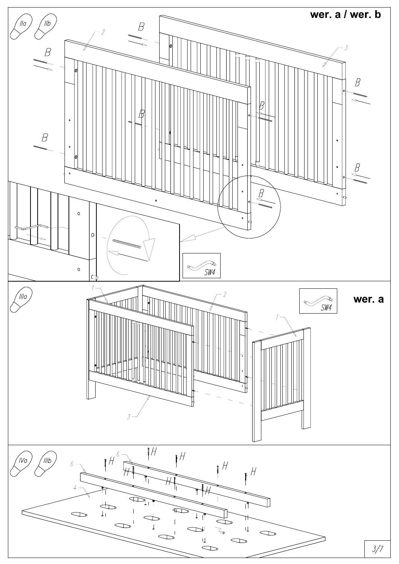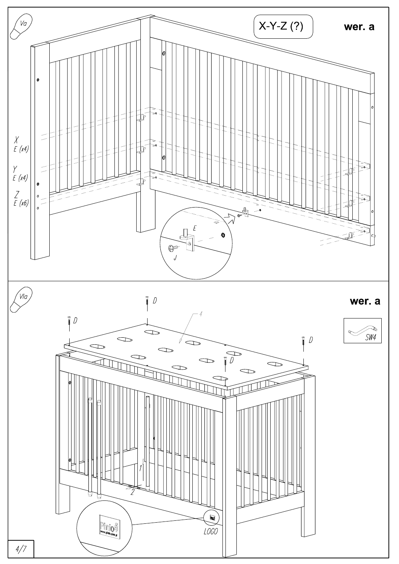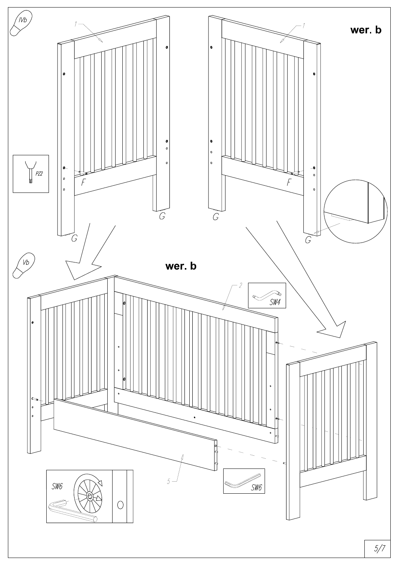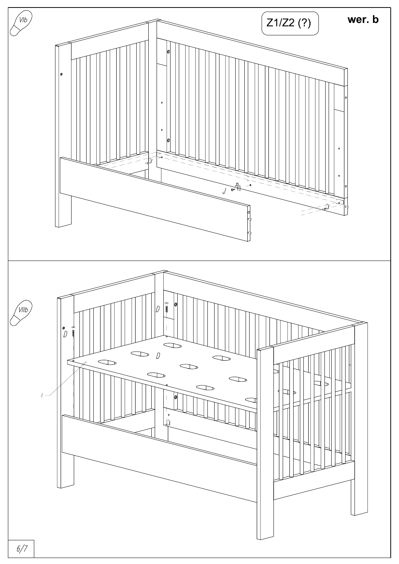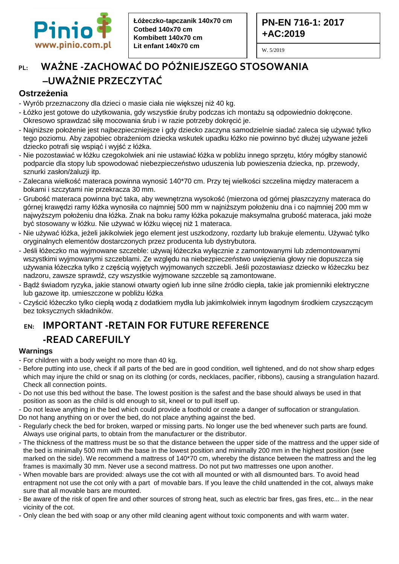

### **PN-EN 716-1: 2017 +AC:2019**

W. 5/2019

### **PL: WAŻNE -ZACHOWAĆ DO PÓŹNIEJSZEGO STOSOWANIA –UWAŻNIE PRZECZYTAĆ**

### **Ostrzeżenia**

- Wyrób przeznaczony dla dzieci o masie ciała nie większej niż 40 kg.
- Łóżko jest gotowe do użytkowania, gdy wszystkie śruby podczas ich montażu są odpowiednio dokręcone. Okresowo sprawdzać siłę mocowania śrub i w razie potrzeby dokręcić je.
- Najniższe położenie jest najbezpieczniejsze i gdy dziecko zaczyna samodzielnie siadać zaleca się używać tylko tego poziomu. Aby zapobiec obrażeniom dziecka wskutek upadku łóżko nie powinno być dłużej używane jeżeli dziecko potrafi się wspiąć i wyjść z łóżka.
- Nie pozostawiać w łóżku czegokolwiek ani nie ustawiać łóżka w pobliżu innego sprzętu, który mógłby stanowić podparcie dla stopy lub spowodować niebezpieczeństwo uduszenia lub powieszenia dziecka, np. przewody, sznurki zasłon/żaluzji itp.
- Zalecana wielkość materaca powinna wynosić 140\*70 cm. Przy tej wielkości szczelina między materacem a bokami i szczytami nie przekracza 30 mm.
- Grubość materaca powinna być taka, aby wewnętrzna wysokość (mierzona od górnej płaszczyzny materaca do górnej krawędzi ramy łóżka wynosiła co najmniej 500 mm w najniższym położeniu dna i co najmniej 200 mm w najwyższym położeniu dna łóżka. Znak na boku ramy łóżka pokazuje maksymalna grubość materaca, jaki może być stosowany w łóżku. Nie używać w łóżku więcej niż 1 materaca.
- Nie używać łóżka, jeżeli jakikolwiek jego element jest uszkodzony, rozdarty lub brakuje elementu. Używać tylko oryginalnych elementów dostarczonych przez producenta lub dystrybutora.
- Jeśli łóżeczko ma wyjmowane szczeble: używaj łóżeczka wyłącznie z zamontowanymi lub zdemontowanymi wszystkimi wyjmowanymi szczeblami. Ze względu na niebezpieczeństwo uwięzienia głowy nie dopuszcza się używania łóżeczka tylko z częścią wyjętych wyjmowanych szczebli. Jeśli pozostawiasz dziecko w łóżeczku bez nadzoru, zawsze sprawdź, czy wszystkie wyjmowane szczeble są zamontowane.
- Bądź świadom ryzyka, jakie stanowi otwarty ogień lub inne silne źródło ciepła, takie jak promienniki elektryczne lub gazowe itp. umieszczone w pobliżu łóżka
- Czyścić łóżeczko tylko ciepłą wodą z dodatkiem mydła lub jakimkolwiek innym łagodnym środkiem czyszczącym bez toksycznych składników.

# **EN: IMPORTANT -RETAIN FOR FUTURE REFERENCE -READ CAREFUILY**

### **Warnings**

- For children with a body weight no more than 40 kg.
- Before putting into use, check if all parts of the bed are in good condition, well tightened, and do not show sharp edges which may injure the child or snag on its clothing (or cords, necklaces, pacifier, ribbons), causing a strangulation hazard. Check all connection points.
- Do not use this bed without the base. The lowest position is the safest and the base should always be used in that position as soon as the child is old enough to sit, kneel or to pull itself up.
- Do not leave anything in the bed which could provide a foothold or create a danger of suffocation or strangulation. Do not hang anything on or over the bed, do not place anything against the bed.
- Regularly check the bed for broken, warped or missing parts. No longer use the bed whenever such parts are found. Always use original parts, to obtain from the manufacturer or the distributor.
- The thickness of the mattress must be so that the distance between the upper side of the mattress and the upper side of the bed is minimally 500 mm with the base in the lowest position and minimally 200 mm in the highest position (see marked on the side). We recommend a mattress of 140\*70 cm, whereby the distance between the mattress and the leg frames is maximally 30 mm. Never use a second mattress. Do not put two mattresses one upon another.
- When movable bars are provided: always use the cot with all mounted or with all dismounted bars. To avoid head entrapment not use the cot only with a part of movable bars. If you leave the child unattended in the cot, always make sure that all movable bars are mounted.
- Be aware of the risk of open fire and other sources of strong heat, such as electric bar fires, gas fires, etc... in the near vicinity of the cot.
- Only clean the bed with soap or any other mild cleaning agent without toxic components and with warm water.